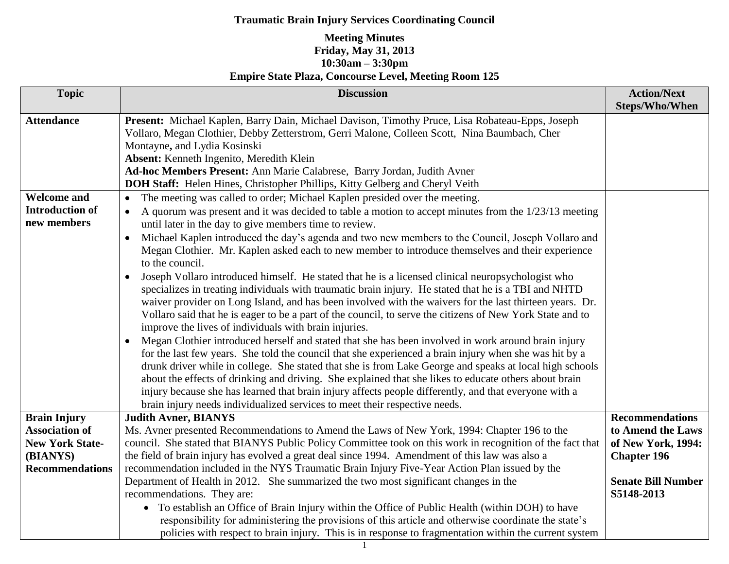| <b>Topic</b>           | <b>Discussion</b>                                                                                                | <b>Action/Next</b><br><b>Steps/Who/When</b> |
|------------------------|------------------------------------------------------------------------------------------------------------------|---------------------------------------------|
| <b>Attendance</b>      | Present: Michael Kaplen, Barry Dain, Michael Davison, Timothy Pruce, Lisa Robateau-Epps, Joseph                  |                                             |
|                        | Vollaro, Megan Clothier, Debby Zetterstrom, Gerri Malone, Colleen Scott, Nina Baumbach, Cher                     |                                             |
|                        | Montayne, and Lydia Kosinski                                                                                     |                                             |
|                        | Absent: Kenneth Ingenito, Meredith Klein                                                                         |                                             |
|                        | Ad-hoc Members Present: Ann Marie Calabrese, Barry Jordan, Judith Avner                                          |                                             |
|                        | <b>DOH Staff:</b> Helen Hines, Christopher Phillips, Kitty Gelberg and Cheryl Veith                              |                                             |
| <b>Welcome and</b>     | The meeting was called to order; Michael Kaplen presided over the meeting.<br>$\bullet$                          |                                             |
| <b>Introduction of</b> | A quorum was present and it was decided to table a motion to accept minutes from the 1/23/13 meeting             |                                             |
| new members            | until later in the day to give members time to review.                                                           |                                             |
|                        | Michael Kaplen introduced the day's agenda and two new members to the Council, Joseph Vollaro and<br>$\bullet$   |                                             |
|                        | Megan Clothier. Mr. Kaplen asked each to new member to introduce themselves and their experience                 |                                             |
|                        | to the council.                                                                                                  |                                             |
|                        | Joseph Vollaro introduced himself. He stated that he is a licensed clinical neuropsychologist who<br>$\bullet$   |                                             |
|                        | specializes in treating individuals with traumatic brain injury. He stated that he is a TBI and NHTD             |                                             |
|                        | waiver provider on Long Island, and has been involved with the waivers for the last thirteen years. Dr.          |                                             |
|                        | Vollaro said that he is eager to be a part of the council, to serve the citizens of New York State and to        |                                             |
|                        | improve the lives of individuals with brain injuries.                                                            |                                             |
|                        | Megan Clothier introduced herself and stated that she has been involved in work around brain injury<br>$\bullet$ |                                             |
|                        | for the last few years. She told the council that she experienced a brain injury when she was hit by a           |                                             |
|                        | drunk driver while in college. She stated that she is from Lake George and speaks at local high schools          |                                             |
|                        | about the effects of drinking and driving. She explained that she likes to educate others about brain            |                                             |
|                        | injury because she has learned that brain injury affects people differently, and that everyone with a            |                                             |
| <b>Brain Injury</b>    | brain injury needs individualized services to meet their respective needs.<br><b>Judith Avner, BIANYS</b>        | <b>Recommendations</b>                      |
| <b>Association of</b>  | Ms. Avner presented Recommendations to Amend the Laws of New York, 1994: Chapter 196 to the                      | to Amend the Laws                           |
| <b>New York State-</b> | council. She stated that BIANYS Public Policy Committee took on this work in recognition of the fact that        | of New York, 1994:                          |
| (BIANYS)               | the field of brain injury has evolved a great deal since 1994. Amendment of this law was also a                  | <b>Chapter 196</b>                          |
| <b>Recommendations</b> | recommendation included in the NYS Traumatic Brain Injury Five-Year Action Plan issued by the                    |                                             |
|                        | Department of Health in 2012. She summarized the two most significant changes in the                             | <b>Senate Bill Number</b>                   |
|                        | recommendations. They are:                                                                                       | S5148-2013                                  |
|                        | To establish an Office of Brain Injury within the Office of Public Health (within DOH) to have<br>$\bullet$      |                                             |
|                        | responsibility for administering the provisions of this article and otherwise coordinate the state's             |                                             |
|                        | policies with respect to brain injury. This is in response to fragmentation within the current system            |                                             |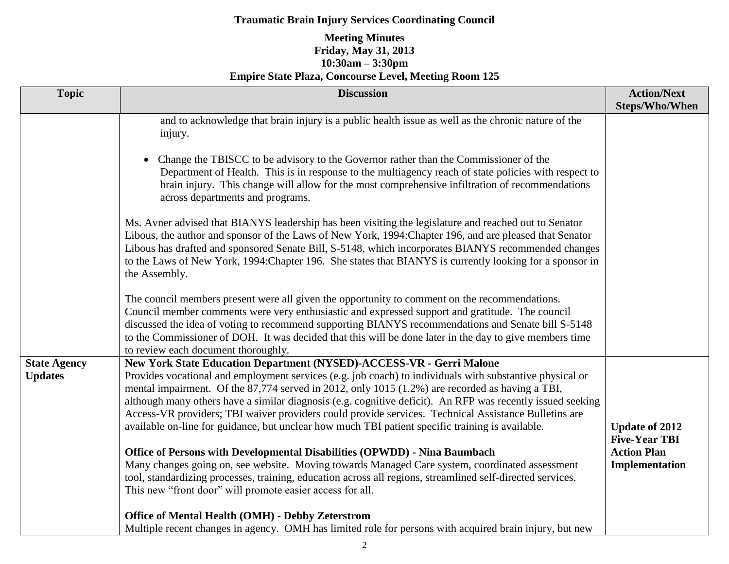| <b>Topic</b>                          | <b>Discussion</b>                                                                                                                                                                                                                                                                                                                                                                                                                                                                                                                                                                                                                                                                                                                                                                                                                                                                                                                                                                                                                  | <b>Action/Next</b><br><b>Steps/Who/When</b>                                           |
|---------------------------------------|------------------------------------------------------------------------------------------------------------------------------------------------------------------------------------------------------------------------------------------------------------------------------------------------------------------------------------------------------------------------------------------------------------------------------------------------------------------------------------------------------------------------------------------------------------------------------------------------------------------------------------------------------------------------------------------------------------------------------------------------------------------------------------------------------------------------------------------------------------------------------------------------------------------------------------------------------------------------------------------------------------------------------------|---------------------------------------------------------------------------------------|
|                                       | and to acknowledge that brain injury is a public health issue as well as the chronic nature of the<br>injury.                                                                                                                                                                                                                                                                                                                                                                                                                                                                                                                                                                                                                                                                                                                                                                                                                                                                                                                      |                                                                                       |
|                                       | Change the TBISCC to be advisory to the Governor rather than the Commissioner of the<br>Department of Health. This is in response to the multiagency reach of state policies with respect to<br>brain injury. This change will allow for the most comprehensive infiltration of recommendations<br>across departments and programs.                                                                                                                                                                                                                                                                                                                                                                                                                                                                                                                                                                                                                                                                                                |                                                                                       |
|                                       | Ms. Avner advised that BIANYS leadership has been visiting the legislature and reached out to Senator<br>Libous, the author and sponsor of the Laws of New York, 1994: Chapter 196, and are pleased that Senator<br>Libous has drafted and sponsored Senate Bill, S-5148, which incorporates BIANYS recommended changes<br>to the Laws of New York, 1994: Chapter 196. She states that BIANYS is currently looking for a sponsor in<br>the Assembly.                                                                                                                                                                                                                                                                                                                                                                                                                                                                                                                                                                               |                                                                                       |
|                                       | The council members present were all given the opportunity to comment on the recommendations.<br>Council member comments were very enthusiastic and expressed support and gratitude. The council<br>discussed the idea of voting to recommend supporting BIANYS recommendations and Senate bill S-5148<br>to the Commissioner of DOH. It was decided that this will be done later in the day to give members time<br>to review each document thoroughly.                                                                                                                                                                                                                                                                                                                                                                                                                                                                                                                                                                           |                                                                                       |
| <b>State Agency</b><br><b>Updates</b> | <b>New York State Education Department (NYSED)-ACCESS-VR - Gerri Malone</b><br>Provides vocational and employment services (e.g. job coach) to individuals with substantive physical or<br>mental impairment. Of the 87,774 served in 2012, only 1015 (1.2%) are recorded as having a TBI,<br>although many others have a similar diagnosis (e.g. cognitive deficit). An RFP was recently issued seeking<br>Access-VR providers; TBI waiver providers could provide services. Technical Assistance Bulletins are<br>available on-line for guidance, but unclear how much TBI patient specific training is available.<br>Office of Persons with Developmental Disabilities (OPWDD) - Nina Baumbach<br>Many changes going on, see website. Moving towards Managed Care system, coordinated assessment<br>tool, standardizing processes, training, education across all regions, streamlined self-directed services.<br>This new "front door" will promote easier access for all.<br>Office of Mental Health (OMH) - Debby Zeterstrom | <b>Update of 2012</b><br><b>Five-Year TBI</b><br><b>Action Plan</b><br>Implementation |
|                                       | Multiple recent changes in agency. OMH has limited role for persons with acquired brain injury, but new                                                                                                                                                                                                                                                                                                                                                                                                                                                                                                                                                                                                                                                                                                                                                                                                                                                                                                                            |                                                                                       |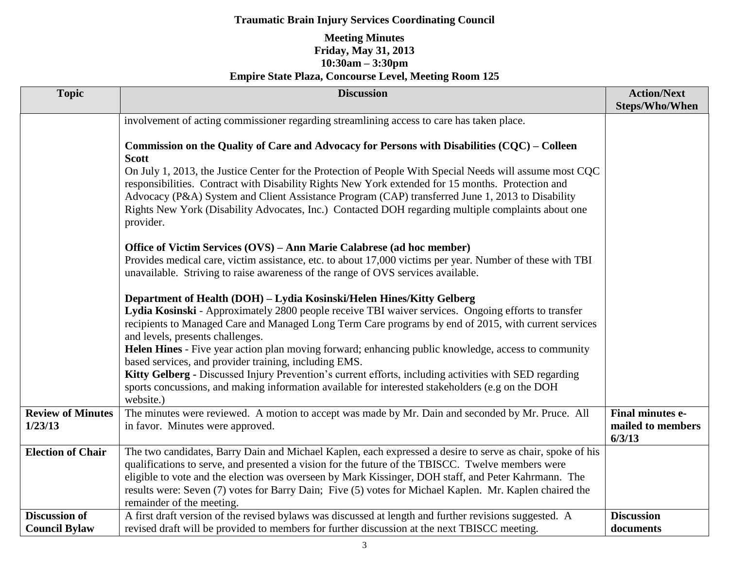| <b>Topic</b>                                 | <b>Discussion</b>                                                                                                                                                                                                                                                                                                                                                                                                                                                                                                                                                                                  | <b>Action/Next</b><br><b>Steps/Who/When</b>            |
|----------------------------------------------|----------------------------------------------------------------------------------------------------------------------------------------------------------------------------------------------------------------------------------------------------------------------------------------------------------------------------------------------------------------------------------------------------------------------------------------------------------------------------------------------------------------------------------------------------------------------------------------------------|--------------------------------------------------------|
|                                              | involvement of acting commissioner regarding streamlining access to care has taken place.                                                                                                                                                                                                                                                                                                                                                                                                                                                                                                          |                                                        |
|                                              | Commission on the Quality of Care and Advocacy for Persons with Disabilities (CQC) – Colleen<br><b>Scott</b><br>On July 1, 2013, the Justice Center for the Protection of People With Special Needs will assume most CQC<br>responsibilities. Contract with Disability Rights New York extended for 15 months. Protection and<br>Advocacy (P&A) System and Client Assistance Program (CAP) transferred June 1, 2013 to Disability<br>Rights New York (Disability Advocates, Inc.) Contacted DOH regarding multiple complaints about one                                                            |                                                        |
|                                              | provider.<br>Office of Victim Services (OVS) - Ann Marie Calabrese (ad hoc member)<br>Provides medical care, victim assistance, etc. to about 17,000 victims per year. Number of these with TBI<br>unavailable. Striving to raise awareness of the range of OVS services available.                                                                                                                                                                                                                                                                                                                |                                                        |
|                                              | Department of Health (DOH) – Lydia Kosinski/Helen Hines/Kitty Gelberg<br>Lydia Kosinski - Approximately 2800 people receive TBI waiver services. Ongoing efforts to transfer<br>recipients to Managed Care and Managed Long Term Care programs by end of 2015, with current services<br>and levels, presents challenges.<br>Helen Hines - Five year action plan moving forward; enhancing public knowledge, access to community<br>based services, and provider training, including EMS.<br>Kitty Gelberg - Discussed Injury Prevention's current efforts, including activities with SED regarding |                                                        |
|                                              | sports concussions, and making information available for interested stakeholders (e.g on the DOH<br>website.)                                                                                                                                                                                                                                                                                                                                                                                                                                                                                      |                                                        |
| <b>Review of Minutes</b><br>1/23/13          | The minutes were reviewed. A motion to accept was made by Mr. Dain and seconded by Mr. Pruce. All<br>in favor. Minutes were approved.                                                                                                                                                                                                                                                                                                                                                                                                                                                              | <b>Final minutes e-</b><br>mailed to members<br>6/3/13 |
| <b>Election of Chair</b>                     | The two candidates, Barry Dain and Michael Kaplen, each expressed a desire to serve as chair, spoke of his<br>qualifications to serve, and presented a vision for the future of the TBISCC. Twelve members were<br>eligible to vote and the election was overseen by Mark Kissinger, DOH staff, and Peter Kahrmann. The<br>results were: Seven (7) votes for Barry Dain; Five (5) votes for Michael Kaplen. Mr. Kaplen chaired the<br>remainder of the meeting.                                                                                                                                    |                                                        |
| <b>Discussion of</b><br><b>Council Bylaw</b> | A first draft version of the revised bylaws was discussed at length and further revisions suggested. A<br>revised draft will be provided to members for further discussion at the next TBISCC meeting.                                                                                                                                                                                                                                                                                                                                                                                             | <b>Discussion</b><br>documents                         |